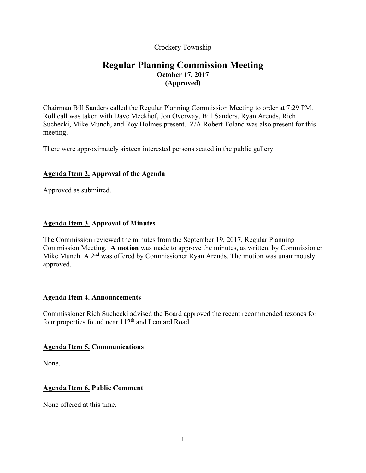Crockery Township

# **Regular Planning Commission Meeting October 17, 2017 (Approved)**

Chairman Bill Sanders called the Regular Planning Commission Meeting to order at 7:29 PM. Roll call was taken with Dave Meekhof, Jon Overway, Bill Sanders, Ryan Arends, Rich Suchecki, Mike Munch, and Roy Holmes present. Z/A Robert Toland was also present for this meeting.

There were approximately sixteen interested persons seated in the public gallery.

# **Agenda Item 2. Approval of the Agenda**

Approved as submitted.

# **Agenda Item 3. Approval of Minutes**

The Commission reviewed the minutes from the September 19, 2017, Regular Planning Commission Meeting. **A motion** was made to approve the minutes, as written, by Commissioner Mike Munch. A  $2<sup>nd</sup>$  was offered by Commissioner Ryan Arends. The motion was unanimously approved.

# **Agenda Item 4. Announcements**

Commissioner Rich Suchecki advised the Board approved the recent recommended rezones for four properties found near 112<sup>th</sup> and Leonard Road.

# **Agenda Item 5. Communications**

None.

# **Agenda Item 6. Public Comment**

None offered at this time.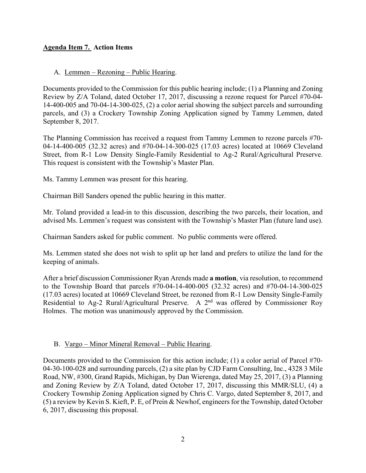# **Agenda Item 7. Action Items**

## A. Lemmen – Rezoning – Public Hearing.

Documents provided to the Commission for this public hearing include; (1) a Planning and Zoning Review by Z/A Toland, dated October 17, 2017, discussing a rezone request for Parcel #70-04- 14-400-005 and 70-04-14-300-025, (2) a color aerial showing the subject parcels and surrounding parcels, and (3) a Crockery Township Zoning Application signed by Tammy Lemmen, dated September 8, 2017.

The Planning Commission has received a request from Tammy Lemmen to rezone parcels #70- 04-14-400-005 (32.32 acres) and #70-04-14-300-025 (17.03 acres) located at 10669 Cleveland Street, from R-1 Low Density Single-Family Residential to Ag-2 Rural/Agricultural Preserve. This request is consistent with the Township's Master Plan.

Ms. Tammy Lemmen was present for this hearing.

Chairman Bill Sanders opened the public hearing in this matter.

Mr. Toland provided a lead-in to this discussion, describing the two parcels, their location, and advised Ms. Lemmen's request was consistent with the Township's Master Plan (future land use).

Chairman Sanders asked for public comment. No public comments were offered.

Ms. Lemmen stated she does not wish to split up her land and prefers to utilize the land for the keeping of animals.

After a brief discussion Commissioner Ryan Arends made **a motion**, via resolution, to recommend to the Township Board that parcels #70-04-14-400-005 (32.32 acres) and #70-04-14-300-025 (17.03 acres) located at 10669 Cleveland Street, be rezoned from R-1 Low Density Single-Family Residential to Ag-2 Rural/Agricultural Preserve. A 2<sup>nd</sup> was offered by Commissioner Roy Holmes. The motion was unanimously approved by the Commission.

#### B. Vargo – Minor Mineral Removal – Public Hearing.

Documents provided to the Commission for this action include; (1) a color aerial of Parcel #70- 04-30-100-028 and surrounding parcels, (2) a site plan by CJD Farm Consulting, Inc., 4328 3 Mile Road, NW, #300, Grand Rapids, Michigan, by Dan Wierenga, dated May 25, 2017, (3) a Planning and Zoning Review by Z/A Toland, dated October 17, 2017, discussing this MMR/SLU, (4) a Crockery Township Zoning Application signed by Chris C. Vargo, dated September 8, 2017, and (5) a review by Kevin S. Kieft, P. E, of Prein & Newhof, engineers for the Township, dated October 6, 2017, discussing this proposal.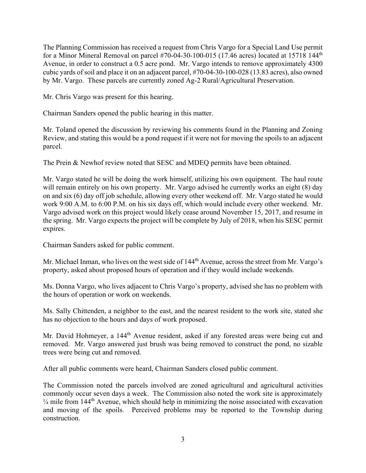The Planning Commission has received a request from Chris Vargo for a Special Land Use permit for a Minor Mineral Removal on parcel  $#70-04-30-100-015$  (17.46 acres) located at 15718 144<sup>th</sup> Avenue, in order to construct a 0.5 acre pond. Mr. Vargo intends to remove approximately 4300 cubic yards of soil and place it on an adjacent parcel, #70-04-30-100-028 (13.83 acres), also owned by Mr. Vargo. These parcels are currently zoned Ag-2 Rural/Agricultural Preservation.

Mr. Chris Vargo was present for this hearing.

Chairman Sanders opened the public hearing in this matter.

Mr. Toland opened the discussion by reviewing his comments found in the Planning and Zoning Review, and stating this would be a pond request if it were not for moving the spoils to an adjacent parcel.

The Prein & Newhof review noted that SESC and MDEQ permits have been obtained.

Mr. Vargo stated he will be doing the work himself, utilizing his own equipment. The haul route will remain entirely on his own property. Mr. Vargo advised he currently works an eight (8) day on and six (6) day off job schedule, allowing every other weekend off. Mr. Vargo stated he would work 9:00 A.M. to 6:00 P.M. on his six days off, which would include every other weekend. Mr. Vargo advised work on this project would likely cease around November 15, 2017, and resume in the spring. Mr. Vargo expects the project will be complete by July of 2018, when his SESC permit expires.

Chairman Sanders asked for public comment.

Mr. Michael Inman, who lives on the west side of 144<sup>th</sup> Avenue, across the street from Mr. Vargo's property, asked about proposed hours of operation and if they would include weekends.

Ms. Donna Vargo, who lives adjacent to Chris Vargo's property, advised she has no problem with the hours of operation or work on weekends.

Ms. Sally Chittenden, a neighbor to the east, and the nearest resident to the work site, stated she has no objection to the hours and days of work proposed.

Mr. David Hohmeyer, a 144<sup>th</sup> Avenue resident, asked if any forested areas were being cut and removed. Mr. Vargo answered just brush was being removed to construct the pond, no sizable trees were being cut and removed.

After all public comments were heard, Chairman Sanders closed public comment.

The Commission noted the parcels involved are zoned agricultural and agricultural activities commonly occur seven days a week. The Commission also noted the work site is approximately  $\frac{1}{4}$  mile from 144<sup>th</sup> Avenue, which should help in minimizing the noise associated with excavation and moving of the spoils. Perceived problems may be reported to the Township during construction.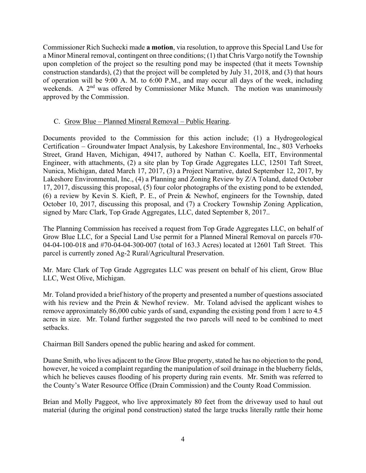Commissioner Rich Suchecki made **a motion**, via resolution, to approve this Special Land Use for a Minor Mineral removal, contingent on three conditions; (1) that Chris Vargo notify the Township upon completion of the project so the resulting pond may be inspected (that it meets Township construction standards), (2) that the project will be completed by July 31, 2018, and (3) that hours of operation will be 9:00 A. M. to 6:00 P.M., and may occur all days of the week, including weekends. A 2<sup>nd</sup> was offered by Commissioner Mike Munch. The motion was unanimously approved by the Commission.

# C. Grow Blue – Planned Mineral Removal – Public Hearing.

Documents provided to the Commission for this action include; (1) a Hydrogeological Certification – Groundwater Impact Analysis, by Lakeshore Environmental, Inc., 803 Verhoeks Street, Grand Haven, Michigan, 49417, authored by Nathan C. Koella, EIT, Environmental Engineer, with attachments, (2) a site plan by Top Grade Aggregates LLC, 12501 Taft Street, Nunica, Michigan, dated March 17, 2017, (3) a Project Narrative, dated September 12, 2017, by Lakeshore Environmental, Inc., (4) a Planning and Zoning Review by Z/A Toland, dated October 17, 2017, discussing this proposal, (5) four color photographs of the existing pond to be extended, (6) a review by Kevin S. Kieft, P. E., of Prein & Newhof, engineers for the Township, dated October 10, 2017, discussing this proposal, and (7) a Crockery Township Zoning Application, signed by Marc Clark, Top Grade Aggregates, LLC, dated September 8, 2017..

The Planning Commission has received a request from Top Grade Aggregates LLC, on behalf of Grow Blue LLC, for a Special Land Use permit for a Planned Mineral Removal on parcels #70- 04-04-100-018 and #70-04-04-300-007 (total of 163.3 Acres) located at 12601 Taft Street. This parcel is currently zoned Ag-2 Rural/Agricultural Preservation.

Mr. Marc Clark of Top Grade Aggregates LLC was present on behalf of his client, Grow Blue LLC, West Olive, Michigan.

Mr. Toland provided a brief history of the property and presented a number of questions associated with his review and the Prein & Newhof review. Mr. Toland advised the applicant wishes to remove approximately 86,000 cubic yards of sand, expanding the existing pond from 1 acre to 4.5 acres in size. Mr. Toland further suggested the two parcels will need to be combined to meet setbacks.

Chairman Bill Sanders opened the public hearing and asked for comment.

Duane Smith, who lives adjacent to the Grow Blue property, stated he has no objection to the pond, however, he voiced a complaint regarding the manipulation of soil drainage in the blueberry fields, which he believes causes flooding of his property during rain events. Mr. Smith was referred to the County's Water Resource Office (Drain Commission) and the County Road Commission.

Brian and Molly Paggeot, who live approximately 80 feet from the driveway used to haul out material (during the original pond construction) stated the large trucks literally rattle their home